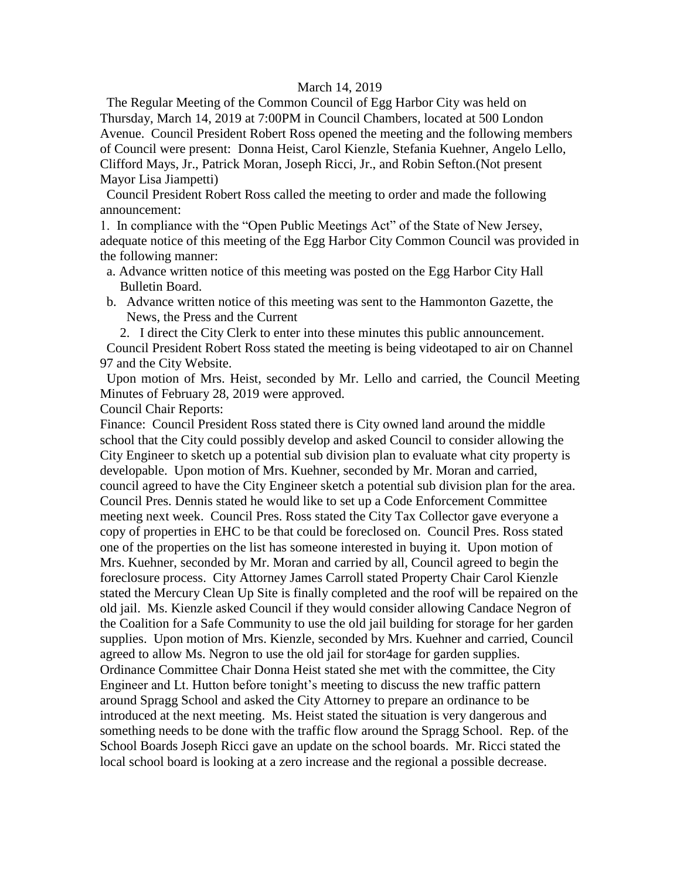#### March 14, 2019

 The Regular Meeting of the Common Council of Egg Harbor City was held on Thursday, March 14, 2019 at 7:00PM in Council Chambers, located at 500 London Avenue. Council President Robert Ross opened the meeting and the following members of Council were present: Donna Heist, Carol Kienzle, Stefania Kuehner, Angelo Lello, Clifford Mays, Jr., Patrick Moran, Joseph Ricci, Jr., and Robin Sefton.(Not present Mayor Lisa Jiampetti)

 Council President Robert Ross called the meeting to order and made the following announcement:

1. In compliance with the "Open Public Meetings Act" of the State of New Jersey, adequate notice of this meeting of the Egg Harbor City Common Council was provided in the following manner:

- a. Advance written notice of this meeting was posted on the Egg Harbor City Hall Bulletin Board.
- b. Advance written notice of this meeting was sent to the Hammonton Gazette, the News, the Press and the Current

2. I direct the City Clerk to enter into these minutes this public announcement. Council President Robert Ross stated the meeting is being videotaped to air on Channel 97 and the City Website.

 Upon motion of Mrs. Heist, seconded by Mr. Lello and carried, the Council Meeting Minutes of February 28, 2019 were approved.

Council Chair Reports:

Finance: Council President Ross stated there is City owned land around the middle school that the City could possibly develop and asked Council to consider allowing the City Engineer to sketch up a potential sub division plan to evaluate what city property is developable. Upon motion of Mrs. Kuehner, seconded by Mr. Moran and carried, council agreed to have the City Engineer sketch a potential sub division plan for the area. Council Pres. Dennis stated he would like to set up a Code Enforcement Committee meeting next week. Council Pres. Ross stated the City Tax Collector gave everyone a copy of properties in EHC to be that could be foreclosed on. Council Pres. Ross stated one of the properties on the list has someone interested in buying it. Upon motion of Mrs. Kuehner, seconded by Mr. Moran and carried by all, Council agreed to begin the foreclosure process. City Attorney James Carroll stated Property Chair Carol Kienzle stated the Mercury Clean Up Site is finally completed and the roof will be repaired on the old jail. Ms. Kienzle asked Council if they would consider allowing Candace Negron of the Coalition for a Safe Community to use the old jail building for storage for her garden supplies. Upon motion of Mrs. Kienzle, seconded by Mrs. Kuehner and carried, Council agreed to allow Ms. Negron to use the old jail for stor4age for garden supplies. Ordinance Committee Chair Donna Heist stated she met with the committee, the City Engineer and Lt. Hutton before tonight's meeting to discuss the new traffic pattern around Spragg School and asked the City Attorney to prepare an ordinance to be introduced at the next meeting. Ms. Heist stated the situation is very dangerous and something needs to be done with the traffic flow around the Spragg School. Rep. of the School Boards Joseph Ricci gave an update on the school boards. Mr. Ricci stated the local school board is looking at a zero increase and the regional a possible decrease.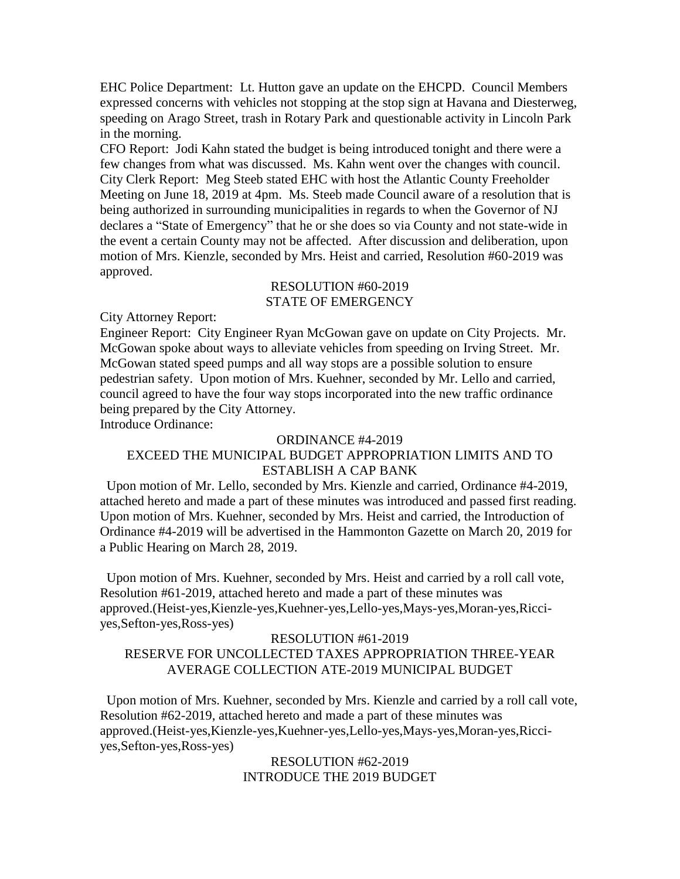EHC Police Department: Lt. Hutton gave an update on the EHCPD. Council Members expressed concerns with vehicles not stopping at the stop sign at Havana and Diesterweg, speeding on Arago Street, trash in Rotary Park and questionable activity in Lincoln Park in the morning.

CFO Report: Jodi Kahn stated the budget is being introduced tonight and there were a few changes from what was discussed. Ms. Kahn went over the changes with council. City Clerk Report: Meg Steeb stated EHC with host the Atlantic County Freeholder Meeting on June 18, 2019 at 4pm. Ms. Steeb made Council aware of a resolution that is being authorized in surrounding municipalities in regards to when the Governor of NJ declares a "State of Emergency" that he or she does so via County and not state-wide in the event a certain County may not be affected. After discussion and deliberation, upon motion of Mrs. Kienzle, seconded by Mrs. Heist and carried, Resolution #60-2019 was approved.

### RESOLUTION #60-2019 STATE OF EMERGENCY

City Attorney Report:

Engineer Report: City Engineer Ryan McGowan gave on update on City Projects. Mr. McGowan spoke about ways to alleviate vehicles from speeding on Irving Street. Mr. McGowan stated speed pumps and all way stops are a possible solution to ensure pedestrian safety. Upon motion of Mrs. Kuehner, seconded by Mr. Lello and carried, council agreed to have the four way stops incorporated into the new traffic ordinance being prepared by the City Attorney.

Introduce Ordinance:

#### ORDINANCE #4-2019

# EXCEED THE MUNICIPAL BUDGET APPROPRIATION LIMITS AND TO ESTABLISH A CAP BANK

 Upon motion of Mr. Lello, seconded by Mrs. Kienzle and carried, Ordinance #4-2019, attached hereto and made a part of these minutes was introduced and passed first reading. Upon motion of Mrs. Kuehner, seconded by Mrs. Heist and carried, the Introduction of Ordinance #4-2019 will be advertised in the Hammonton Gazette on March 20, 2019 for a Public Hearing on March 28, 2019.

 Upon motion of Mrs. Kuehner, seconded by Mrs. Heist and carried by a roll call vote, Resolution #61-2019, attached hereto and made a part of these minutes was approved.(Heist-yes,Kienzle-yes,Kuehner-yes,Lello-yes,Mays-yes,Moran-yes,Ricciyes,Sefton-yes,Ross-yes)

# RESOLUTION #61-2019 RESERVE FOR UNCOLLECTED TAXES APPROPRIATION THREE-YEAR AVERAGE COLLECTION ATE-2019 MUNICIPAL BUDGET

 Upon motion of Mrs. Kuehner, seconded by Mrs. Kienzle and carried by a roll call vote, Resolution #62-2019, attached hereto and made a part of these minutes was approved.(Heist-yes,Kienzle-yes,Kuehner-yes,Lello-yes,Mays-yes,Moran-yes,Ricciyes,Sefton-yes,Ross-yes)

> RESOLUTION #62-2019 INTRODUCE THE 2019 BUDGET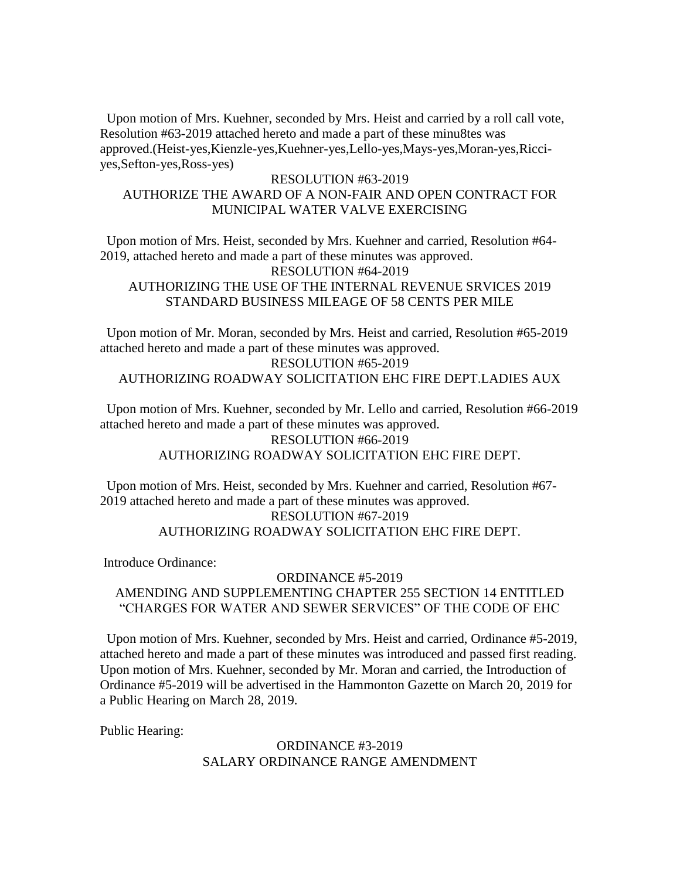Upon motion of Mrs. Kuehner, seconded by Mrs. Heist and carried by a roll call vote, Resolution #63-2019 attached hereto and made a part of these minu8tes was approved.(Heist-yes,Kienzle-yes,Kuehner-yes,Lello-yes,Mays-yes,Moran-yes,Ricciyes,Sefton-yes,Ross-yes)

## RESOLUTION #63-2019 AUTHORIZE THE AWARD OF A NON-FAIR AND OPEN CONTRACT FOR MUNICIPAL WATER VALVE EXERCISING

 Upon motion of Mrs. Heist, seconded by Mrs. Kuehner and carried, Resolution #64- 2019, attached hereto and made a part of these minutes was approved. RESOLUTION #64-2019 AUTHORIZING THE USE OF THE INTERNAL REVENUE SRVICES 2019 STANDARD BUSINESS MILEAGE OF 58 CENTS PER MILE

 Upon motion of Mr. Moran, seconded by Mrs. Heist and carried, Resolution #65-2019 attached hereto and made a part of these minutes was approved.

RESOLUTION #65-2019 AUTHORIZING ROADWAY SOLICITATION EHC FIRE DEPT.LADIES AUX

 Upon motion of Mrs. Kuehner, seconded by Mr. Lello and carried, Resolution #66-2019 attached hereto and made a part of these minutes was approved.

### RESOLUTION #66-2019 AUTHORIZING ROADWAY SOLICITATION EHC FIRE DEPT.

 Upon motion of Mrs. Heist, seconded by Mrs. Kuehner and carried, Resolution #67- 2019 attached hereto and made a part of these minutes was approved. RESOLUTION #67-2019 AUTHORIZING ROADWAY SOLICITATION EHC FIRE DEPT.

Introduce Ordinance:

## ORDINANCE #5-2019 AMENDING AND SUPPLEMENTING CHAPTER 255 SECTION 14 ENTITLED "CHARGES FOR WATER AND SEWER SERVICES" OF THE CODE OF EHC

 Upon motion of Mrs. Kuehner, seconded by Mrs. Heist and carried, Ordinance #5-2019, attached hereto and made a part of these minutes was introduced and passed first reading. Upon motion of Mrs. Kuehner, seconded by Mr. Moran and carried, the Introduction of Ordinance #5-2019 will be advertised in the Hammonton Gazette on March 20, 2019 for a Public Hearing on March 28, 2019.

Public Hearing:

### ORDINANCE #3-2019 SALARY ORDINANCE RANGE AMENDMENT